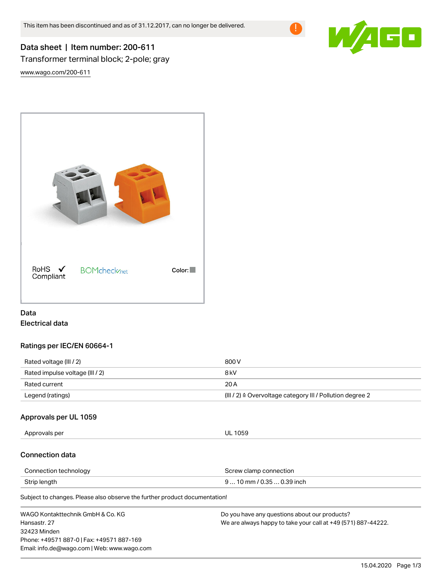

# Data sheet | Item number: 200-611 Transformer terminal block; 2-pole; gray

[www.wago.com/200-611](http://www.wago.com/200-611)



# Data Electrical data

## Ratings per IEC/EN 60664-1

| Rated voltage (III / 2)         | 800 V                                                                 |
|---------------------------------|-----------------------------------------------------------------------|
| Rated impulse voltage (III / 2) | 8 kV                                                                  |
| Rated current                   | 20 A                                                                  |
| Legend (ratings)                | $(III / 2)$ $\triangle$ Overvoltage category III / Pollution degree 2 |

## Approvals per UL 1059

Approvals per UL 1059

# Connection data

| Connection technology | Screw clamp connection     |
|-----------------------|----------------------------|
| Strip length          | $910$ mm / 0.35  0.39 inch |

Subject to changes. Please also observe the further product documentation!

| WAGO Kontakttechnik GmbH & Co. KG           | Do you have any questions about our products?                 |
|---------------------------------------------|---------------------------------------------------------------|
| Hansastr, 27                                | We are always happy to take your call at +49 (571) 887-44222. |
| 32423 Minden                                |                                                               |
| Phone: +49571 887-0   Fax: +49571 887-169   |                                                               |
| Email: info.de@wago.com   Web: www.wago.com |                                                               |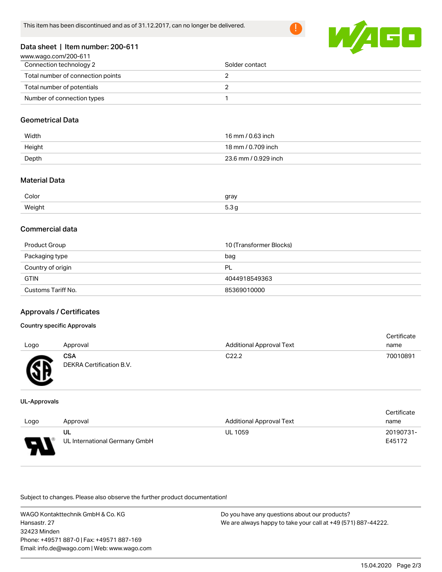

#### Data sheet | Item number: 200-611

| www.wago.com/200-611              |                |
|-----------------------------------|----------------|
| Connection technology 2           | Solder contact |
| Total number of connection points |                |
| Total number of potentials        |                |
| Number of connection types        |                |

#### Geometrical Data

| Width  | 16 mm / 0.63 inch    |
|--------|----------------------|
| Height | 18 mm / 0.709 inch   |
| Depth  | 23.6 mm / 0.929 inch |

## Material Data

| Color                | gray      |
|----------------------|-----------|
| Weiaht               | $\sim$    |
| ້. <del>ຕະ</del> ລະເ | $\ddotsc$ |

#### Commercial data

| Product Group      | 10 (Transformer Blocks) |
|--------------------|-------------------------|
| Packaging type     | bag                     |
| Country of origin  | PL                      |
| <b>GTIN</b>        | 4044918549363           |
| Customs Tariff No. | 85369010000             |

# Approvals / Certificates

#### Country specific Approvals

|      |                          |                                 | Certificate |
|------|--------------------------|---------------------------------|-------------|
| Logo | Approval                 | <b>Additional Approval Text</b> | name        |
|      | CSA                      | C22.2                           | 70010891    |
| Æ    | DEKRA Certification B.V. |                                 |             |

#### UL-Approvals

w

|      |                               |                                 | Certificate |
|------|-------------------------------|---------------------------------|-------------|
| Logo | Approval                      | <b>Additional Approval Text</b> | name        |
|      | UL                            | <b>UL 1059</b>                  | 20190731-   |
| o    | UL International Germany GmbH |                                 | E45172      |

Subject to changes. Please also observe the further product documentation!

WAGO Kontakttechnik GmbH & Co. KG Hansastr. 27 32423 Minden Phone: +49571 887-0 | Fax: +49571 887-169 Email: info.de@wago.com | Web: www.wago.com Do you have any questions about our products? We are always happy to take your call at +49 (571) 887-44222.